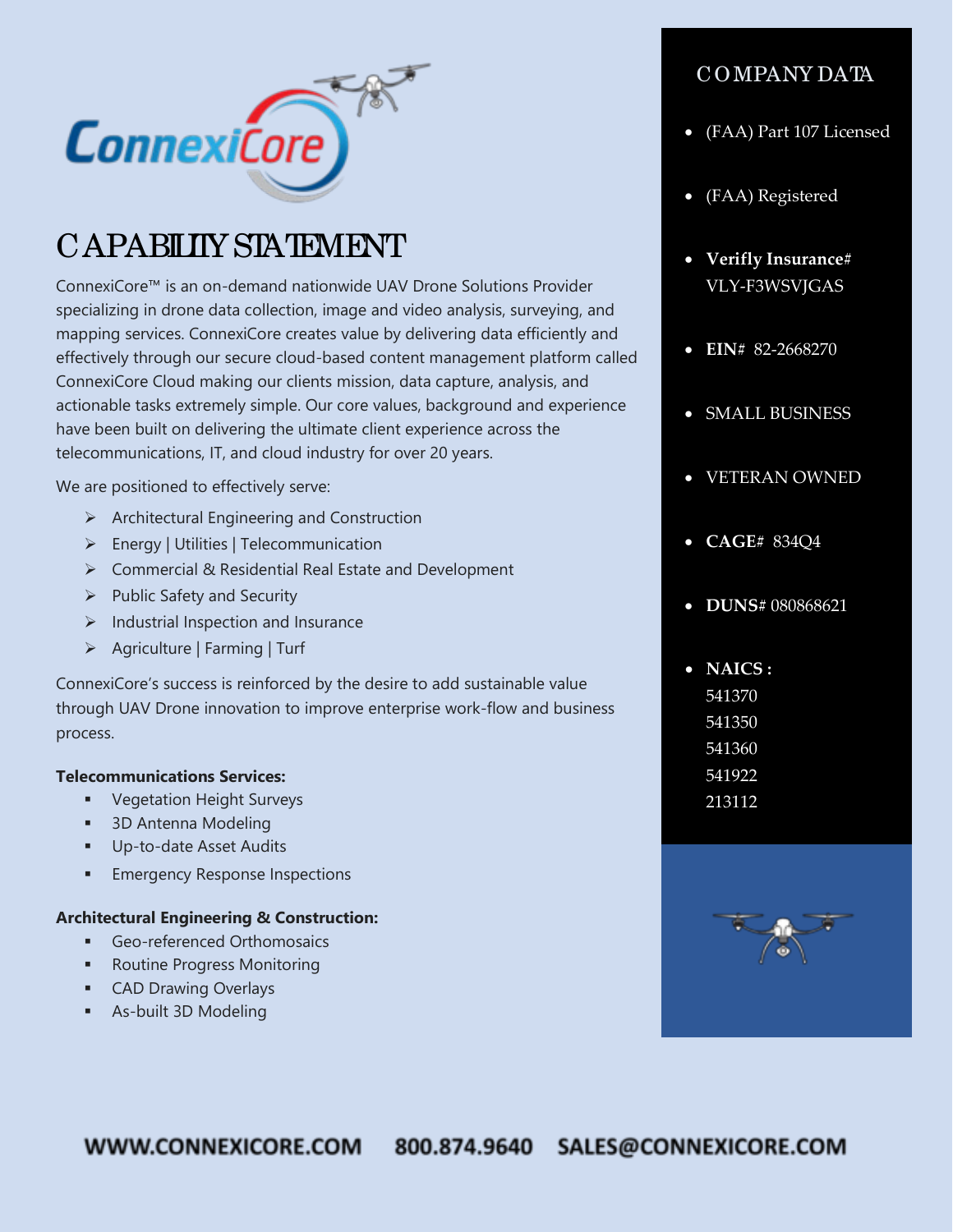

# CAPABILITY STATEMENT

ConnexiCore™ is an on-demand nationwide UAV Drone Solutions Provider specializing in drone data collection, image and video analysis, surveying, and mapping services. ConnexiCore creates value by delivering data efficiently and effectively through our secure cloud-based content management platform called ConnexiCore Cloud making our clients mission, data capture, analysis, and actionable tasks extremely simple. Our core values, background and experience have been built on delivering the ultimate client experience across the telecommunications, IT, and cloud industry for over 20 years.

We are positioned to effectively serve:

- $\triangleright$  Architectural Engineering and Construction
- Energy | Utilities | Telecommunication
- Commercial & Residential Real Estate and Development
- $\triangleright$  Public Safety and Security
- $\triangleright$  Industrial Inspection and Insurance
- Agriculture | Farming | Turf

ConnexiCore's success is reinforced by the desire to add sustainable value through UAV Drone innovation to improve enterprise work-flow and business process.

#### **Telecommunications Services:**

- **•** Vegetation Height Surveys
- **3D Antenna Modeling**
- Up-to-date Asset Audits
- Emergency Response Inspections

#### **Architectural Engineering & Construction:**

- **Geo-referenced Orthomosaics**
- Routine Progress Monitoring
- **CAD Drawing Overlays**
- As-built 3D Modeling

### COMPANY DATA

- (FAA) Part 107 Licensed
- (FAA) Registered
- **Verifly Insurance#**  VLY-F3WSVJGAS
- **EIN#** 82-2668270
- SMALL BUSINESS
- VETERAN OWNED
- **CAGE#** 834Q4
- **DUNS#** 080868621
- **NAICS :**  541370 541350 541360 541922 213112